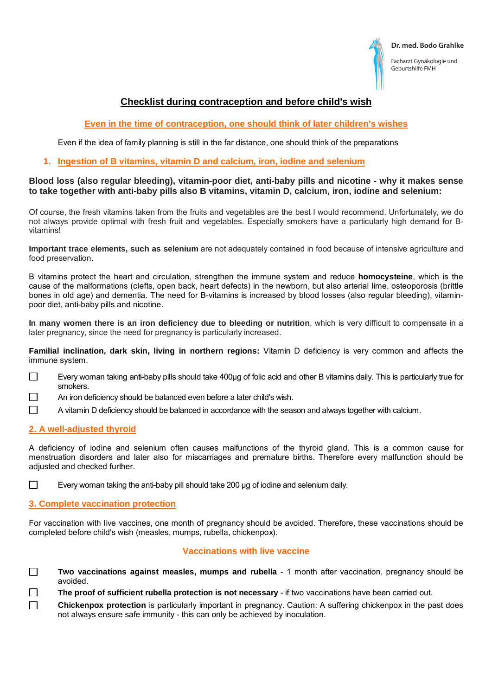| Dr. med. Bodo Grahlke |  |
|-----------------------|--|
|                       |  |



Facharzt Gynäkologie und Geburtshilfe FMH

# **Checklist during contraception and before child's wish**

# **Even in the time of contraception, one should think of later children's wishes**

Even if the idea of family planning is still in the far distance, one should think of the preparations

#### **1. Ingestion of B vitamins, vitamin D and calcium, iron, iodine and selenium**

#### **Blood loss (also regular bleeding), vitamin-poor diet, anti-baby pills and nicotine - why it makes sense to take together with anti-baby pills also B vitamins, vitamin D, calcium, iron, iodine and selenium:**

Of course, the fresh vitamins taken from the fruits and vegetables are the best I would recommend. Unfortunately, we do not always provide optimal with fresh fruit and vegetables. Especially smokers have a particularly high demand for Bvitamins!

**Important trace elements, such as selenium** are not adequately contained in food because of intensive agriculture and food preservation.

B vitamins protect the heart and circulation, strengthen the immune system and reduce **homocysteine**, which is the cause of the malformations (clefts, open back, heart defects) in the newborn, but also arterial lime, osteoporosis (brittle bones in old age) and dementia. The need for B-vitamins is increased by blood losses (also regular bleeding), vitaminpoor diet, anti-baby pills and nicotine.

**In many women there is an iron deficiency due to bleeding or nutrition**, which is very difficult to compensate in a later pregnancy, since the need for pregnancy is particularly increased.

**Familial inclination, dark skin, living in northern regions:** Vitamin D deficiency is very common and affects the immune system.

- Every woman taking anti-baby pills should take 400μg of folic acid and other B vitamins daily. This is particularly true for  $\Box$ smokers.
- П An iron deficiency should be balanced even before a later child's wish.
- $\Box$ A vitamin D deficiency should be balanced in accordance with the season and always together with calcium.

#### **2. A well-adjusted thyroid**

A deficiency of iodine and selenium often causes malfunctions of the thyroid gland. This is a common cause for menstruation disorders and later also for miscarriages and premature births. Therefore every malfunction should be adjusted and checked further.

 $\Box$ Every woman taking the anti-baby pill should take 200 μg of iodine and selenium daily.

#### **3. Complete vaccination protection**

For vaccination with live vaccines, one month of pregnancy should be avoided. Therefore, these vaccinations should be completed before child's wish (measles, mumps, rubella, chickenpox).

### **Vaccinations with live vaccine**

- **Two vaccinations against measles, mumps and rubella** 1 month after vaccination, pregnancy should be avoided.
- **The proof of sufficient rubella protection is not necessary** if two vaccinations have been carried out.
- **Chickenpox protection** is particularly important in pregnancy. Caution: A suffering chickenpox in the past does not always ensure safe immunity - this can only be achieved by inoculation.